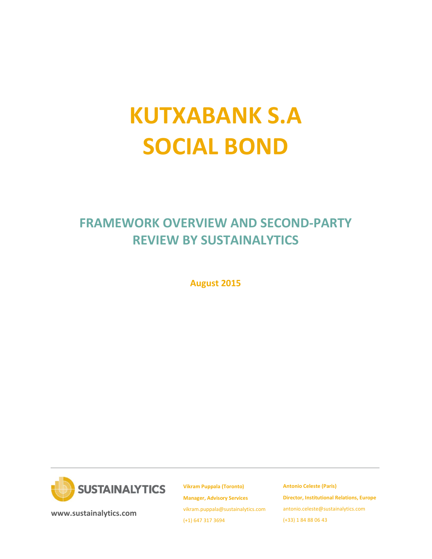# **KUTXABANK S.A SOCIAL BOND**

# **FRAMEWORK OVERVIEW AND SECOND-PARTY REVIEW BY SUSTAINALYTICS**

**August 2015**



**[www.sustainalytics.com](http://www.sustainalytics.com/)**

**Vikram Puppala (Toronto) Manager, Advisory Services** [vikram.puppala@sustainalytics.com](mailto:vikram.puppala@sustainalytics.com) (+1) 647 317 3694

**Antonio Celeste (Paris) Director, Institutional Relations, Europe** [antonio.celeste@sustainalytics.com](mailto:antonio.celeste@sustainalytics.com) (+33) 1 84 88 06 43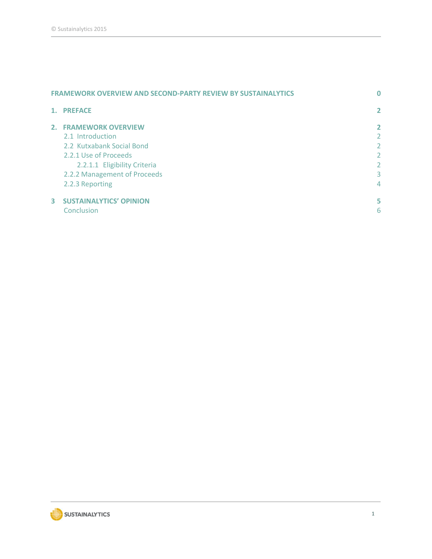| <b>FRAMEWORK OVERVIEW AND SECOND-PARTY REVIEW BY SUSTAINALYTICS</b> |                                                                                                                                                                                    | 0                               |
|---------------------------------------------------------------------|------------------------------------------------------------------------------------------------------------------------------------------------------------------------------------|---------------------------------|
|                                                                     | 1. PREFACE                                                                                                                                                                         | $\overline{2}$                  |
|                                                                     | 2. FRAMEWORK OVERVIEW<br>2.1 Introduction<br>2.2 Kutxabank Social Bond<br>2.2.1 Use of Proceeds<br>2.2.1.1 Eligibility Criteria<br>2.2.2 Management of Proceeds<br>2.2.3 Reporting | 2<br>2<br>2<br>2<br>2<br>3<br>4 |
| 3                                                                   | <b>SUSTAINALYTICS' OPINION</b><br>Conclusion                                                                                                                                       | 5<br>6                          |

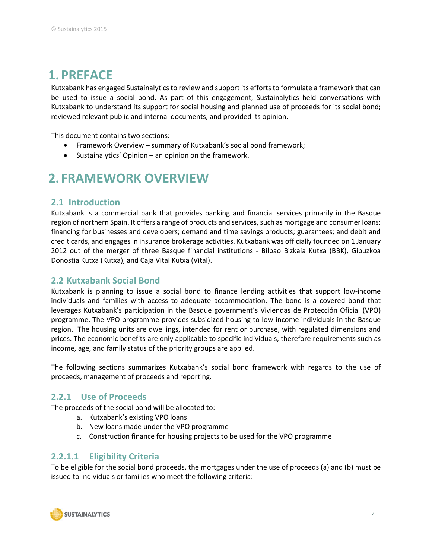## <span id="page-2-0"></span>**1.PREFACE**

Kutxabank has engaged Sustainalytics to review and support its efforts to formulate a framework that can be used to issue a social bond. As part of this engagement, Sustainalytics held conversations with Kutxabank to understand its support for social housing and planned use of proceeds for its social bond; reviewed relevant public and internal documents, and provided its opinion.

This document contains two sections:

- Framework Overview summary of Kutxabank's social bond framework;
- Sustainalytics' Opinion an opinion on the framework.

## <span id="page-2-1"></span>**2. FRAMEWORK OVERVIEW**

#### <span id="page-2-2"></span>**2.1 Introduction**

Kutxabank is a commercial bank that provides banking and financial services primarily in the Basque region of northern Spain. It offers a range of products and services, such as mortgage and consumer loans; financing for businesses and developers; demand and time savings products; guarantees; and debit and credit cards, and engages in insurance brokerage activities. Kutxabank was officially founded on 1 January 2012 out of the merger of three Basque financial institutions - Bilbao Bizkaia Kutxa (BBK), Gipuzkoa Donostia Kutxa (Kutxa), and Caja Vital Kutxa (Vital).

#### <span id="page-2-3"></span>**2.2 Kutxabank Social Bond**

Kutxabank is planning to issue a social bond to finance lending activities that support low-income individuals and families with access to adequate accommodation. The bond is a covered bond that leverages Kutxabank's participation in the Basque government's Viviendas de Protección Oficial (VPO) programme. The VPO programme provides subsidized housing to low-income individuals in the Basque region. The housing units are dwellings, intended for rent or purchase, with regulated dimensions and prices. The economic benefits are only applicable to specific individuals, therefore requirements such as income, age, and family status of the priority groups are applied.

The following sections summarizes Kutxabank's social bond framework with regards to the use of proceeds, management of proceeds and reporting.

#### **2.2.1 Use of Proceeds**

The proceeds of the social bond will be allocated to:

- <span id="page-2-4"></span>a. Kutxabank's existing VPO loans
- b. New loans made under the VPO programme
- c. Construction finance for housing projects to be used for the VPO programme

#### <span id="page-2-5"></span>**2.2.1.1 Eligibility Criteria**

To be eligible for the social bond proceeds, the mortgages under the use of proceeds (a) and (b) must be issued to individuals or families who meet the following criteria:

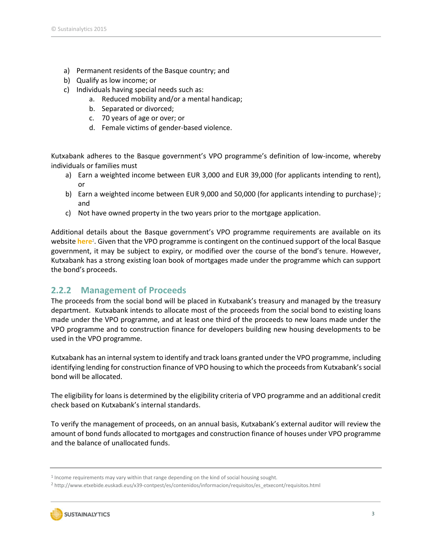- a) Permanent residents of the Basque country; and
- b) Qualify as low income; or
- c) Individuals having special needs such as:
	- a. Reduced mobility and/or a mental handicap;
	- b. Separated or divorced;
	- c. 70 years of age or over; or
	- d. Female victims of gender-based violence.

Kutxabank adheres to the Basque government's VPO programme's definition of low-income, whereby individuals or families must

- a) Earn a weighted income between EUR 3,000 and EUR 39,000 (for applicants intending to rent), or
- b) Earn a weighted income between EUR 9,000 and 50,000 (for applicants intending to purchase)<sup>1</sup>; and
- c) Not have owned property in the two years prior to the mortgage application.

Additional details about the Basque government's VPO programme requirements are available on its website **[here](http://www.etxebide.euskadi.eus/x39-contpest/es/contenidos/informacion/requisitos/es_etxecont/requisitos.html)**<sup>2</sup> . Given that the VPO programme is contingent on the continued support of the local Basque government, it may be subject to expiry, or modified over the course of the bond's tenure. However, Kutxabank has a strong existing loan book of mortgages made under the programme which can support the bond's proceeds.

### <span id="page-3-0"></span>**2.2.2 Management of Proceeds**

The proceeds from the social bond will be placed in Kutxabank's treasury and managed by the treasury department. Kutxabank intends to allocate most of the proceeds from the social bond to existing loans made under the VPO programme, and at least one third of the proceeds to new loans made under the VPO programme and to construction finance for developers building new housing developments to be used in the VPO programme.

Kutxabank has an internal system to identify and track loans granted under the VPO programme, including identifying lending for construction finance of VPO housing to which the proceeds from Kutxabank's social bond will be allocated.

The eligibility for loans is determined by the eligibility criteria of VPO programme and an additional credit check based on Kutxabank's internal standards.

To verify the management of proceeds, on an annual basis, Kutxabank's external auditor will review the amount of bond funds allocated to mortgages and construction finance of houses under VPO programme and the balance of unallocated funds.

<sup>2</sup> http://www.etxebide.euskadi.eus/x39-contpest/es/contenidos/informacion/requisitos/es\_etxecont/requisitos.html



<sup>&</sup>lt;sup>1</sup> Income requirements may vary within that range depending on the kind of social housing sought.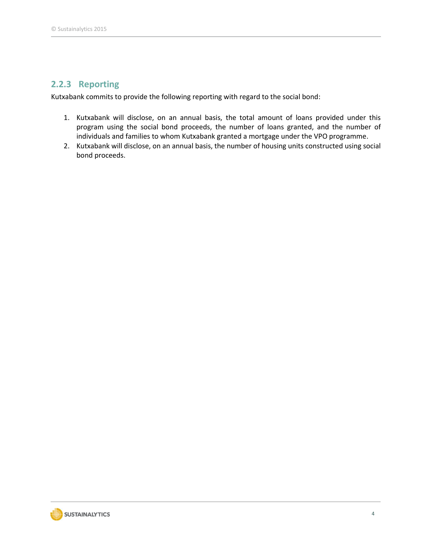## <span id="page-4-0"></span>**2.2.3 Reporting**

Kutxabank commits to provide the following reporting with regard to the social bond:

- 1. Kutxabank will disclose, on an annual basis, the total amount of loans provided under this program using the social bond proceeds, the number of loans granted, and the number of individuals and families to whom Kutxabank granted a mortgage under the VPO programme.
- 2. Kutxabank will disclose, on an annual basis, the number of housing units constructed using social bond proceeds.

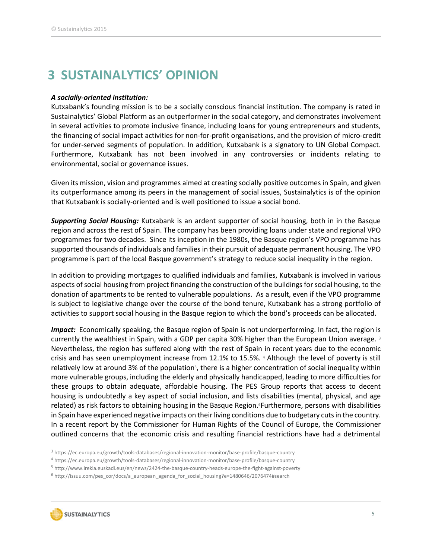## <span id="page-5-0"></span>**3 SUSTAINALYTICS' OPINION**

#### *A socially-oriented institution:*

Kutxabank's founding mission is to be a socially conscious financial institution. The company is rated in Sustainalytics' Global Platform as an outperformer in the social category, and demonstrates involvement in several activities to promote inclusive finance, including loans for young entrepreneurs and students, the financing of social impact activities for non-for-profit organisations, and the provision of micro-credit for under-served segments of population. In addition, Kutxabank is a signatory to UN Global Compact. Furthermore, Kutxabank has not been involved in any controversies or incidents relating to environmental, social or governance issues.

Given its mission, vision and programmes aimed at creating socially positive outcomes in Spain, and given its outperformance among its peers in the management of social issues, Sustainalytics is of the opinion that Kutxabank is socially-oriented and is well positioned to issue a social bond.

*Supporting Social Housing:* Kutxabank is an ardent supporter of social housing, both in in the Basque region and across the rest of Spain. The company has been providing loans under state and regional VPO programmes for two decades. Since its inception in the 1980s, the Basque region's VPO programme has supported thousands of individuals and families in their pursuit of adequate permanent housing. The VPO programme is part of the local Basque government's strategy to reduce social inequality in the region.

In addition to providing mortgages to qualified individuals and families, Kutxabank is involved in various aspects of social housing from project financing the construction of the buildings for social housing, to the donation of apartments to be rented to vulnerable populations. As a result, even if the VPO programme is subject to legislative change over the course of the bond tenure, Kutxabank has a strong portfolio of activities to support social housing in the Basque region to which the bond's proceeds can be allocated.

*Impact:* Economically speaking, the Basque region of Spain is not underperforming. In fact, the region is currently the wealthiest in Spain, with a GDP per capita 30% higher than the European Union average. <sup>3</sup> Nevertheless, the region has suffered along with the rest of Spain in recent years due to the economic crisis and has seen unemployment increase from 12.1% to 15.5%. <sup>4</sup> Although the level of poverty is still relatively low at around 3% of the population<sup>5</sup>, there is a higher concentration of social inequality within more vulnerable groups, including the elderly and physically handicapped, leading to more difficulties for these groups to obtain adequate, affordable housing. The PES Group reports that access to decent housing is undoubtedly a key aspect of social inclusion, and lists disabilities (mental, physical, and age related) as risk factors to obtaining housing in the Basque Region.<sup>6</sup>Furthermore, persons with disabilities in Spain have experienced negative impacts on their living conditions due to budgetary cuts in the country. In a recent report by the Commissioner for Human Rights of the Council of Europe, the Commissioner outlined concerns that the economic crisis and resulting financial restrictions have had a detrimental

<sup>6</sup> http://issuu.com/pes\_cor/docs/a\_european\_agenda\_for\_social\_housing?e=1480646/2076474#search



<sup>3</sup> https://ec.europa.eu/growth/tools-databases/regional-innovation-monitor/base-profile/basque-country

<sup>4</sup> https://ec.europa.eu/growth/tools-databases/regional-innovation-monitor/base-profile/basque-country

<sup>5</sup> http://www.irekia.euskadi.eus/en/news/2424-the-basque-country-heads-europe-the-fight-against-poverty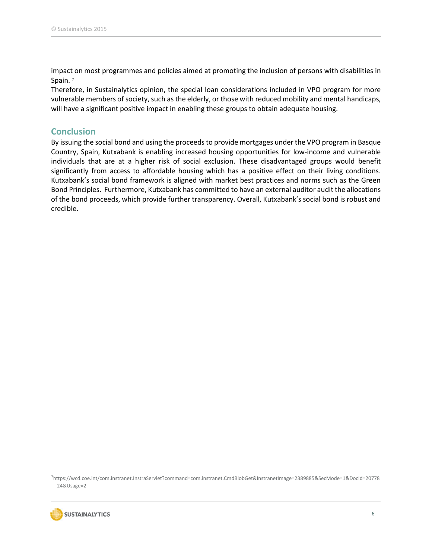impact on most programmes and policies aimed at promoting the inclusion of persons with disabilities in Spain. 7

Therefore, in Sustainalytics opinion, the special loan considerations included in VPO program for more vulnerable members of society, such asthe elderly, or those with reduced mobility and mental handicaps, will have a significant positive impact in enabling these groups to obtain adequate housing.

#### <span id="page-6-0"></span>**Conclusion**

By issuing the social bond and using the proceeds to provide mortgages under the VPO program in Basque Country, Spain, Kutxabank is enabling increased housing opportunities for low-income and vulnerable individuals that are at a higher risk of social exclusion. These disadvantaged groups would benefit significantly from access to affordable housing which has a positive effect on their living conditions. Kutxabank's social bond framework is aligned with market best practices and norms such as the Green Bond Principles. Furthermore, Kutxabank has committed to have an external auditor audit the allocations of the bond proceeds, which provide further transparency. Overall, Kutxabank's social bond is robust and credible.

<sup>7</sup>https://wcd.coe.int/com.instranet.InstraServlet?command=com.instranet.CmdBlobGet&InstranetImage=2389885&SecMode=1&DocId=20778 24&Usage=2